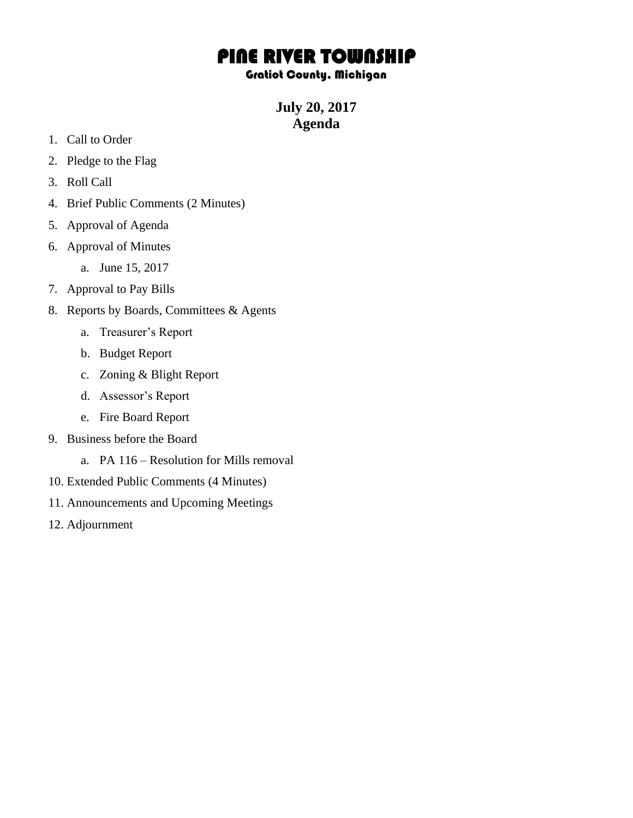## PINE RIVER TOWNSHIP

## Gratiot County, Michigan

**July 20, 2017 Agenda**

- 1. Call to Order
- 2. Pledge to the Flag
- 3. Roll Call
- 4. Brief Public Comments (2 Minutes)
- 5. Approval of Agenda
- 6. Approval of Minutes
	- a. June 15, 2017
- 7. Approval to Pay Bills
- 8. Reports by Boards, Committees & Agents
	- a. Treasurer's Report
	- b. Budget Report
	- c. Zoning & Blight Report
	- d. Assessor's Report
	- e. Fire Board Report
- 9. Business before the Board
	- a. PA 116 Resolution for Mills removal
- 10. Extended Public Comments (4 Minutes)
- 11. Announcements and Upcoming Meetings
- 12. Adjournment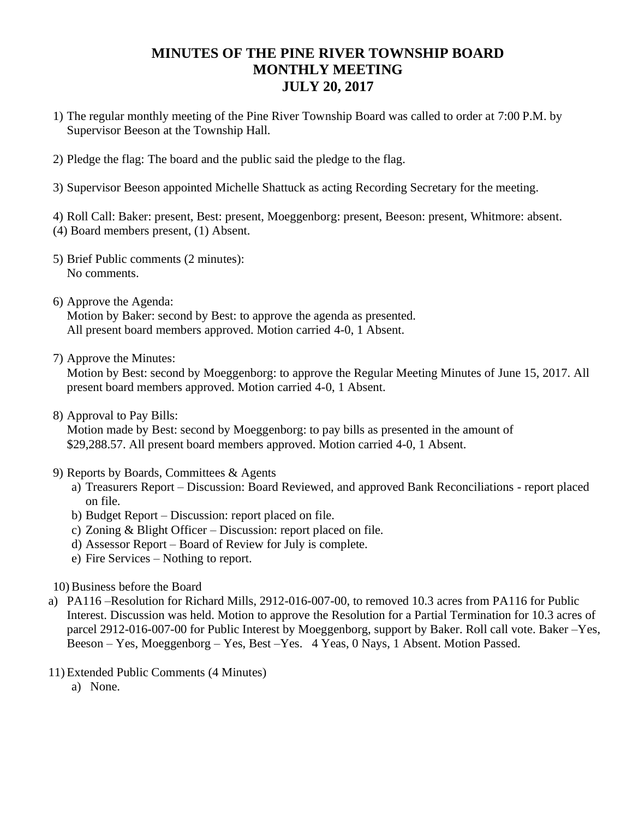## **MINUTES OF THE PINE RIVER TOWNSHIP BOARD MONTHLY MEETING JULY 20, 2017**

- 1) The regular monthly meeting of the Pine River Township Board was called to order at 7:00 P.M. by Supervisor Beeson at the Township Hall.
- 2) Pledge the flag: The board and the public said the pledge to the flag.
- 3) Supervisor Beeson appointed Michelle Shattuck as acting Recording Secretary for the meeting.

4) Roll Call: Baker: present, Best: present, Moeggenborg: present, Beeson: present, Whitmore: absent. (4) Board members present, (1) Absent.

- 5) Brief Public comments (2 minutes): No comments.
- 6) Approve the Agenda: Motion by Baker: second by Best: to approve the agenda as presented. All present board members approved. Motion carried 4-0, 1 Absent.
- 7) Approve the Minutes:

Motion by Best: second by Moeggenborg: to approve the Regular Meeting Minutes of June 15, 2017. All present board members approved. Motion carried 4-0, 1 Absent.

8) Approval to Pay Bills:

Motion made by Best: second by Moeggenborg: to pay bills as presented in the amount of \$29,288.57. All present board members approved. Motion carried 4-0, 1 Absent.

- 9) Reports by Boards, Committees & Agents
	- a) Treasurers Report Discussion: Board Reviewed, and approved Bank Reconciliations report placed on file.
	- b) Budget Report Discussion: report placed on file.
	- c) Zoning & Blight Officer Discussion: report placed on file.
	- d) Assessor Report Board of Review for July is complete.
	- e) Fire Services Nothing to report.
- 10) Business before the Board
- a) PA116 –Resolution for Richard Mills, 2912-016-007-00, to removed 10.3 acres from PA116 for Public Interest. Discussion was held. Motion to approve the Resolution for a Partial Termination for 10.3 acres of parcel 2912-016-007-00 for Public Interest by Moeggenborg, support by Baker. Roll call vote. Baker –Yes, Beeson – Yes, Moeggenborg – Yes, Best –Yes. 4 Yeas, 0 Nays, 1 Absent. Motion Passed.
- 11) Extended Public Comments (4 Minutes)
	- a) None.